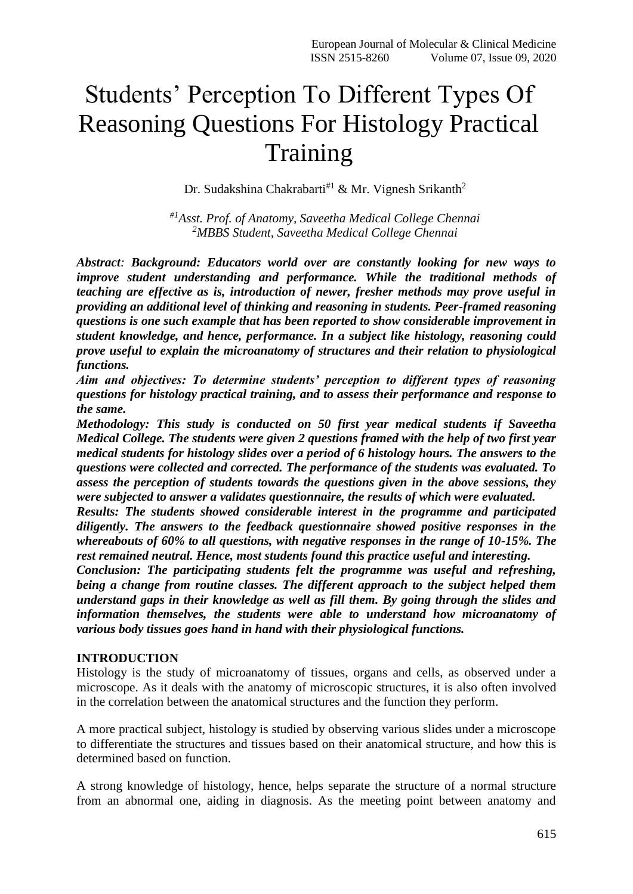# Students' Perception To Different Types Of Reasoning Questions For Histology Practical Training

Dr. Sudakshina Chakrabarti<sup>#1</sup> & Mr. Vignesh Srikanth<sup>2</sup>

*#1Asst. Prof. of Anatomy, Saveetha Medical College Chennai <sup>2</sup>MBBS Student, Saveetha Medical College Chennai*

*Abstract: Background: Educators world over are constantly looking for new ways to improve student understanding and performance. While the traditional methods of teaching are effective as is, introduction of newer, fresher methods may prove useful in providing an additional level of thinking and reasoning in students. Peer-framed reasoning questions is one such example that has been reported to show considerable improvement in student knowledge, and hence, performance. In a subject like histology, reasoning could prove useful to explain the microanatomy of structures and their relation to physiological functions.*

*Aim and objectives: To determine students' perception to different types of reasoning questions for histology practical training, and to assess their performance and response to the same.*

*Methodology: This study is conducted on 50 first year medical students if Saveetha Medical College. The students were given 2 questions framed with the help of two first year medical students for histology slides over a period of 6 histology hours. The answers to the questions were collected and corrected. The performance of the students was evaluated. To assess the perception of students towards the questions given in the above sessions, they were subjected to answer a validates questionnaire, the results of which were evaluated.*

*Results: The students showed considerable interest in the programme and participated diligently. The answers to the feedback questionnaire showed positive responses in the whereabouts of 60% to all questions, with negative responses in the range of 10-15%. The rest remained neutral. Hence, most students found this practice useful and interesting.*

*Conclusion: The participating students felt the programme was useful and refreshing, being a change from routine classes. The different approach to the subject helped them understand gaps in their knowledge as well as fill them. By going through the slides and information themselves, the students were able to understand how microanatomy of various body tissues goes hand in hand with their physiological functions.*

#### **INTRODUCTION**

Histology is the study of microanatomy of tissues, organs and cells, as observed under a microscope. As it deals with the anatomy of microscopic structures, it is also often involved in the correlation between the anatomical structures and the function they perform.

A more practical subject, histology is studied by observing various slides under a microscope to differentiate the structures and tissues based on their anatomical structure, and how this is determined based on function.

A strong knowledge of histology, hence, helps separate the structure of a normal structure from an abnormal one, aiding in diagnosis. As the meeting point between anatomy and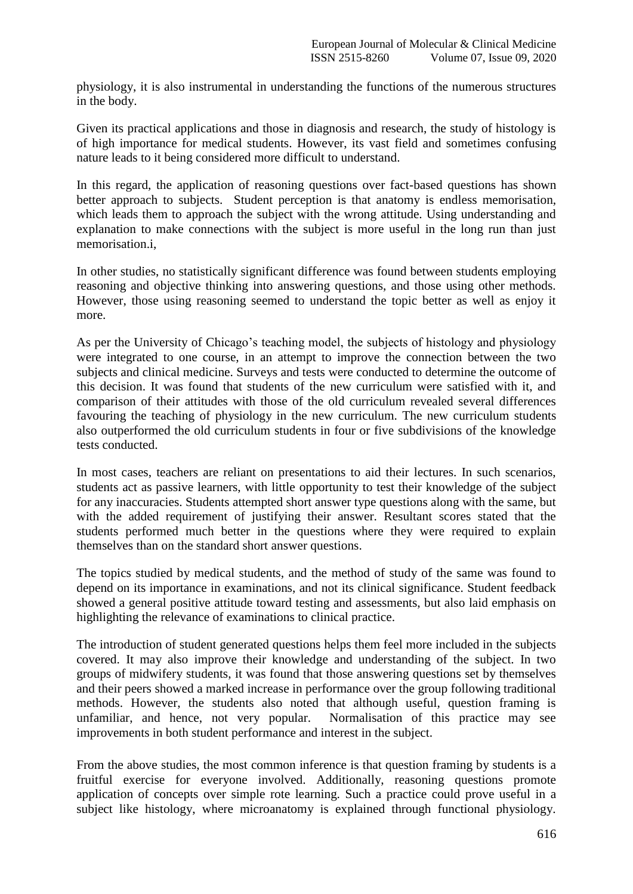physiology, it is also instrumental in understanding the functions of the numerous structures in the body.

Given its practical applications and those in diagnosis and research, the study of histology is of high importance for medical students. However, its vast field and sometimes confusing nature leads to it being considered more difficult to understand.

In this regard, the application of reasoning questions over fact-based questions has shown better approach to subjects. Student perception is that anatomy is endless memorisation, which leads them to approach the subject with the wrong attitude. Using understanding and explanation to make connections with the subject is more useful in the long run than just memorisation.i,

In other studies, no statistically significant difference was found between students employing reasoning and objective thinking into answering questions, and those using other methods. However, those using reasoning seemed to understand the topic better as well as enjoy it more.

As per the University of Chicago's teaching model, the subjects of histology and physiology were integrated to one course, in an attempt to improve the connection between the two subjects and clinical medicine. Surveys and tests were conducted to determine the outcome of this decision. It was found that students of the new curriculum were satisfied with it, and comparison of their attitudes with those of the old curriculum revealed several differences favouring the teaching of physiology in the new curriculum. The new curriculum students also outperformed the old curriculum students in four or five subdivisions of the knowledge tests conducted.

In most cases, teachers are reliant on presentations to aid their lectures. In such scenarios, students act as passive learners, with little opportunity to test their knowledge of the subject for any inaccuracies. Students attempted short answer type questions along with the same, but with the added requirement of justifying their answer. Resultant scores stated that the students performed much better in the questions where they were required to explain themselves than on the standard short answer questions.

The topics studied by medical students, and the method of study of the same was found to depend on its importance in examinations, and not its clinical significance. Student feedback showed a general positive attitude toward testing and assessments, but also laid emphasis on highlighting the relevance of examinations to clinical practice.

The introduction of student generated questions helps them feel more included in the subjects covered. It may also improve their knowledge and understanding of the subject. In two groups of midwifery students, it was found that those answering questions set by themselves and their peers showed a marked increase in performance over the group following traditional methods. However, the students also noted that although useful, question framing is unfamiliar, and hence, not very popular. Normalisation of this practice may see improvements in both student performance and interest in the subject.

From the above studies, the most common inference is that question framing by students is a fruitful exercise for everyone involved. Additionally, reasoning questions promote application of concepts over simple rote learning. Such a practice could prove useful in a subject like histology, where microanatomy is explained through functional physiology.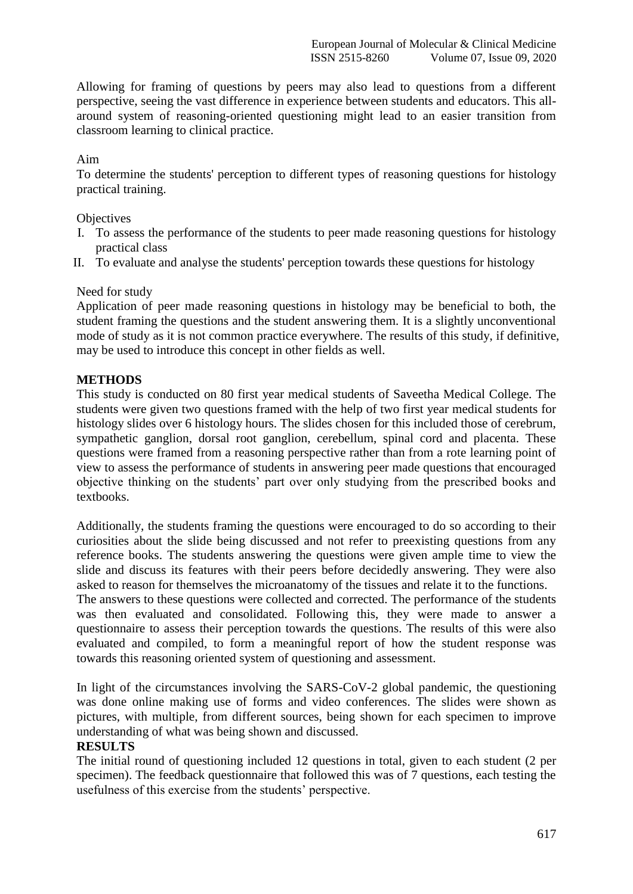Allowing for framing of questions by peers may also lead to questions from a different perspective, seeing the vast difference in experience between students and educators. This allaround system of reasoning-oriented questioning might lead to an easier transition from classroom learning to clinical practice.

# Aim

To determine the students' perception to different types of reasoning questions for histology practical training.

**Objectives** 

- I. To assess the performance of the students to peer made reasoning questions for histology practical class
- II. To evaluate and analyse the students' perception towards these questions for histology

#### Need for study

Application of peer made reasoning questions in histology may be beneficial to both, the student framing the questions and the student answering them. It is a slightly unconventional mode of study as it is not common practice everywhere. The results of this study, if definitive, may be used to introduce this concept in other fields as well.

#### **METHODS**

This study is conducted on 80 first year medical students of Saveetha Medical College. The students were given two questions framed with the help of two first year medical students for histology slides over 6 histology hours. The slides chosen for this included those of cerebrum, sympathetic ganglion, dorsal root ganglion, cerebellum, spinal cord and placenta. These questions were framed from a reasoning perspective rather than from a rote learning point of view to assess the performance of students in answering peer made questions that encouraged objective thinking on the students' part over only studying from the prescribed books and textbooks.

Additionally, the students framing the questions were encouraged to do so according to their curiosities about the slide being discussed and not refer to preexisting questions from any reference books. The students answering the questions were given ample time to view the slide and discuss its features with their peers before decidedly answering. They were also asked to reason for themselves the microanatomy of the tissues and relate it to the functions.

The answers to these questions were collected and corrected. The performance of the students was then evaluated and consolidated. Following this, they were made to answer a questionnaire to assess their perception towards the questions. The results of this were also evaluated and compiled, to form a meaningful report of how the student response was towards this reasoning oriented system of questioning and assessment.

In light of the circumstances involving the SARS-CoV-2 global pandemic, the questioning was done online making use of forms and video conferences. The slides were shown as pictures, with multiple, from different sources, being shown for each specimen to improve understanding of what was being shown and discussed.

#### **RESULTS**

The initial round of questioning included 12 questions in total, given to each student (2 per specimen). The feedback questionnaire that followed this was of 7 questions, each testing the usefulness of this exercise from the students' perspective.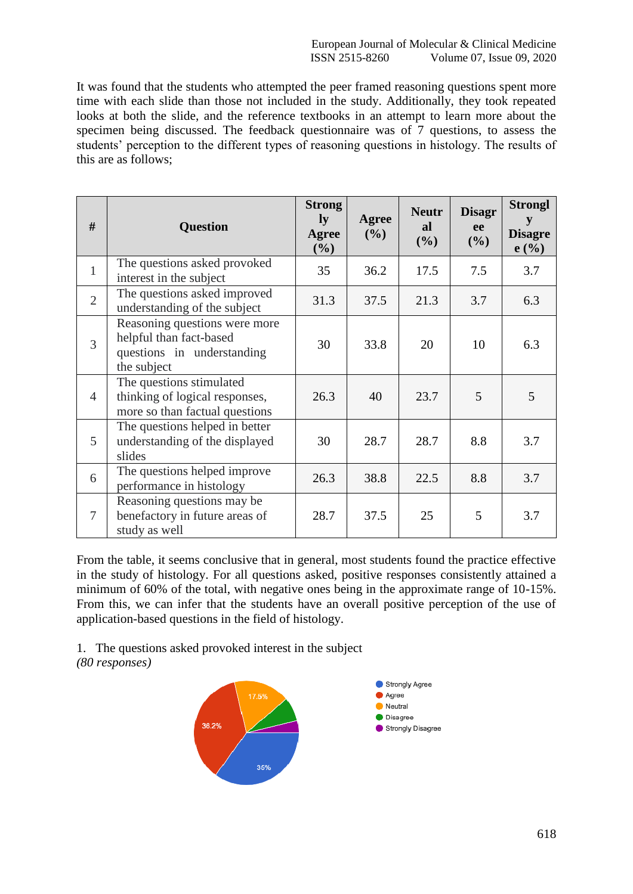It was found that the students who attempted the peer framed reasoning questions spent more time with each slide than those not included in the study. Additionally, they took repeated looks at both the slide, and the reference textbooks in an attempt to learn more about the specimen being discussed. The feedback questionnaire was of 7 questions, to assess the students' perception to the different types of reasoning questions in histology. The results of this are as follows;

| #              | <b>Question</b>                                                                                       | <b>Strong</b><br>ly<br>Agree<br>(%) | <b>Agree</b><br>(9/0) | <b>Neutr</b><br>al<br>(%) | <b>Disagr</b><br>ee<br>(%) | <b>Strongl</b><br>y<br><b>Disagre</b><br>e(%) |
|----------------|-------------------------------------------------------------------------------------------------------|-------------------------------------|-----------------------|---------------------------|----------------------------|-----------------------------------------------|
| $\mathbf{1}$   | The questions asked provoked<br>interest in the subject                                               | 35                                  | 36.2                  | 17.5                      | 7.5                        | 3.7                                           |
| $\overline{2}$ | The questions asked improved<br>understanding of the subject                                          | 31.3                                | 37.5                  | 21.3                      | 3.7                        | 6.3                                           |
| 3              | Reasoning questions were more<br>helpful than fact-based<br>questions in understanding<br>the subject | 30                                  | 33.8                  | 20                        | 10                         | 6.3                                           |
| 4              | The questions stimulated<br>thinking of logical responses,<br>more so than factual questions          | 26.3                                | 40                    | 23.7                      | 5                          | 5                                             |
| 5              | The questions helped in better<br>understanding of the displayed<br>slides                            | 30                                  | 28.7                  | 28.7                      | 8.8                        | 3.7                                           |
| 6              | The questions helped improve<br>performance in histology                                              | 26.3                                | 38.8                  | 22.5                      | 8.8                        | 3.7                                           |
| 7              | Reasoning questions may be<br>benefactory in future areas of<br>study as well                         | 28.7                                | 37.5                  | 25                        | 5                          | 3.7                                           |

From the table, it seems conclusive that in general, most students found the practice effective in the study of histology. For all questions asked, positive responses consistently attained a minimum of 60% of the total, with negative ones being in the approximate range of 10-15%. From this, we can infer that the students have an overall positive perception of the use of application-based questions in the field of histology.

1. The questions asked provoked interest in the subject

*(80 responses)*

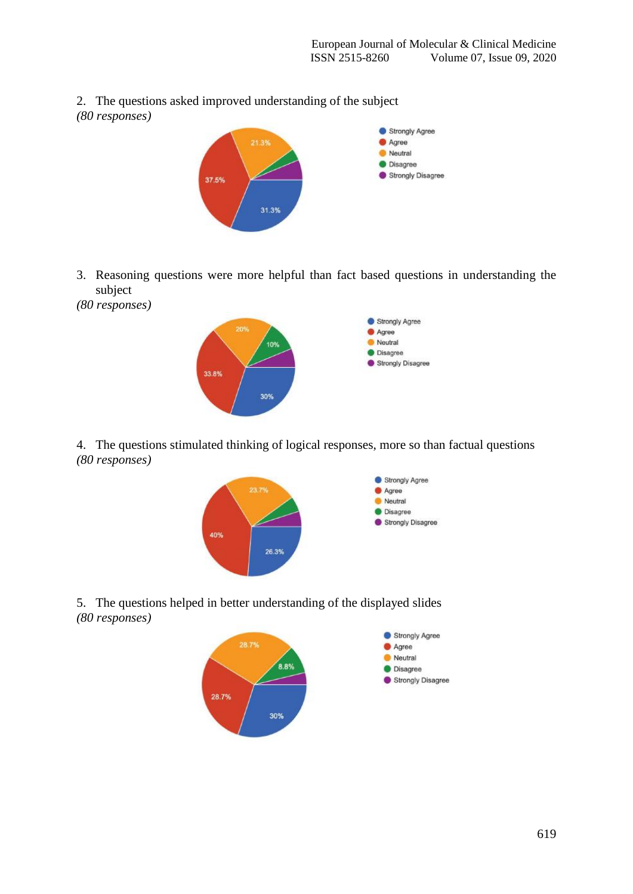2. The questions asked improved understanding of the subject *(80 responses)*



- 3. Reasoning questions were more helpful than fact based questions in understanding the subject
- *(80 responses)*



4. The questions stimulated thinking of logical responses, more so than factual questions *(80 responses)*



#### 5. The questions helped in better understanding of the displayed slides *(80 responses)*

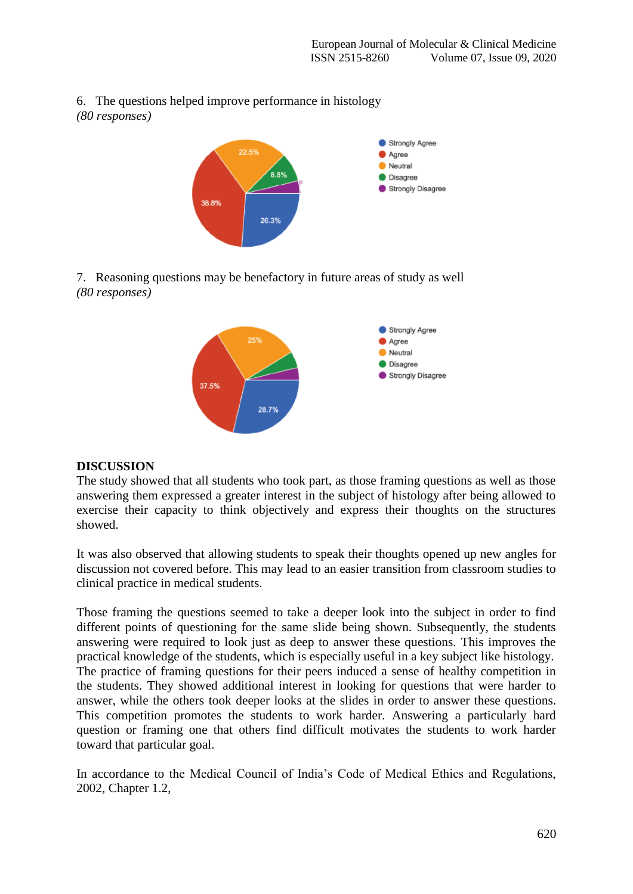6. The questions helped improve performance in histology *(80 responses)*



# 7. Reasoning questions may be benefactory in future areas of study as well *(80 responses)*



# **DISCUSSION**

The study showed that all students who took part, as those framing questions as well as those answering them expressed a greater interest in the subject of histology after being allowed to exercise their capacity to think objectively and express their thoughts on the structures showed.

It was also observed that allowing students to speak their thoughts opened up new angles for discussion not covered before. This may lead to an easier transition from classroom studies to clinical practice in medical students.

Those framing the questions seemed to take a deeper look into the subject in order to find different points of questioning for the same slide being shown. Subsequently, the students answering were required to look just as deep to answer these questions. This improves the practical knowledge of the students, which is especially useful in a key subject like histology. The practice of framing questions for their peers induced a sense of healthy competition in the students. They showed additional interest in looking for questions that were harder to answer, while the others took deeper looks at the slides in order to answer these questions. This competition promotes the students to work harder. Answering a particularly hard question or framing one that others find difficult motivates the students to work harder toward that particular goal.

In accordance to the Medical Council of India's Code of Medical Ethics and Regulations, 2002, Chapter 1.2,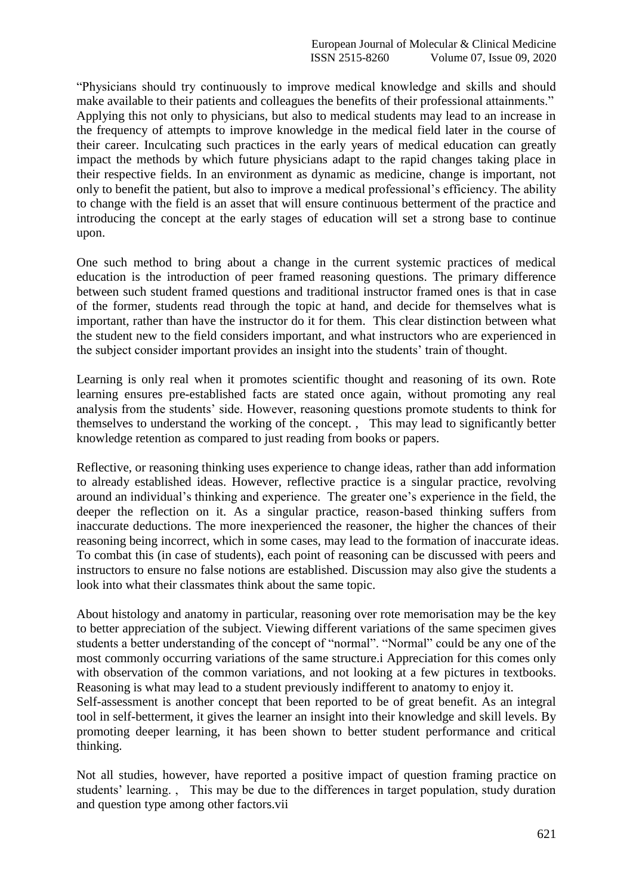"Physicians should try continuously to improve medical knowledge and skills and should make available to their patients and colleagues the benefits of their professional attainments." Applying this not only to physicians, but also to medical students may lead to an increase in the frequency of attempts to improve knowledge in the medical field later in the course of their career. Inculcating such practices in the early years of medical education can greatly impact the methods by which future physicians adapt to the rapid changes taking place in their respective fields. In an environment as dynamic as medicine, change is important, not only to benefit the patient, but also to improve a medical professional's efficiency. The ability to change with the field is an asset that will ensure continuous betterment of the practice and introducing the concept at the early stages of education will set a strong base to continue upon.

One such method to bring about a change in the current systemic practices of medical education is the introduction of peer framed reasoning questions. The primary difference between such student framed questions and traditional instructor framed ones is that in case of the former, students read through the topic at hand, and decide for themselves what is important, rather than have the instructor do it for them. This clear distinction between what the student new to the field considers important, and what instructors who are experienced in the subject consider important provides an insight into the students' train of thought.

Learning is only real when it promotes scientific thought and reasoning of its own. Rote learning ensures pre-established facts are stated once again, without promoting any real analysis from the students' side. However, reasoning questions promote students to think for themselves to understand the working of the concept. , This may lead to significantly better knowledge retention as compared to just reading from books or papers.

Reflective, or reasoning thinking uses experience to change ideas, rather than add information to already established ideas. However, reflective practice is a singular practice, revolving around an individual's thinking and experience. The greater one's experience in the field, the deeper the reflection on it. As a singular practice, reason-based thinking suffers from inaccurate deductions. The more inexperienced the reasoner, the higher the chances of their reasoning being incorrect, which in some cases, may lead to the formation of inaccurate ideas. To combat this (in case of students), each point of reasoning can be discussed with peers and instructors to ensure no false notions are established. Discussion may also give the students a look into what their classmates think about the same topic.

About histology and anatomy in particular, reasoning over rote memorisation may be the key to better appreciation of the subject. Viewing different variations of the same specimen gives students a better understanding of the concept of "normal". "Normal" could be any one of the most commonly occurring variations of the same structure.i Appreciation for this comes only with observation of the common variations, and not looking at a few pictures in textbooks. Reasoning is what may lead to a student previously indifferent to anatomy to enjoy it.

Self-assessment is another concept that been reported to be of great benefit. As an integral tool in self-betterment, it gives the learner an insight into their knowledge and skill levels. By promoting deeper learning, it has been shown to better student performance and critical thinking.

Not all studies, however, have reported a positive impact of question framing practice on students' learning. , This may be due to the differences in target population, study duration and question type among other factors.vii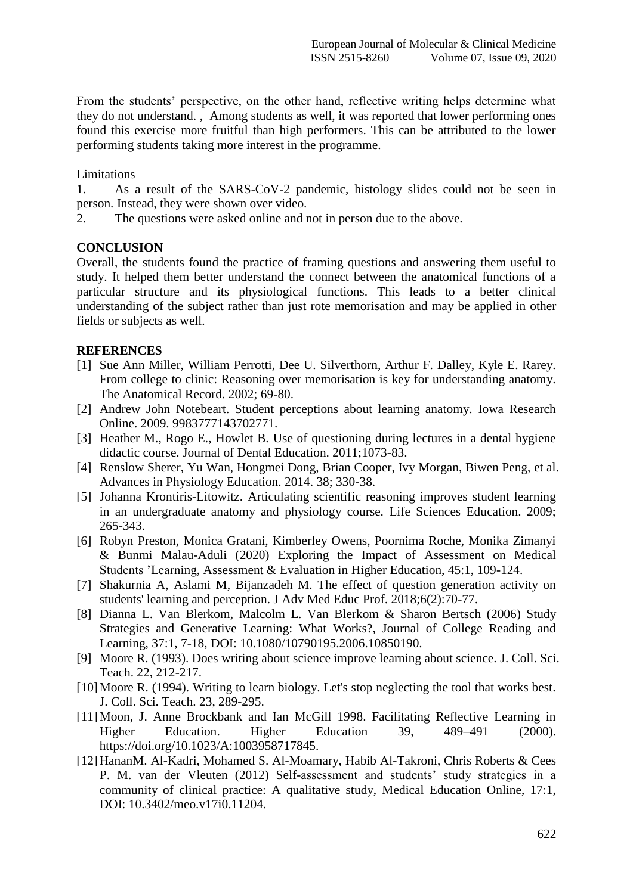From the students' perspective, on the other hand, reflective writing helps determine what they do not understand. , Among students as well, it was reported that lower performing ones found this exercise more fruitful than high performers. This can be attributed to the lower performing students taking more interest in the programme.

#### Limitations

1. As a result of the SARS-CoV-2 pandemic, histology slides could not be seen in person. Instead, they were shown over video.

2. The questions were asked online and not in person due to the above.

# **CONCLUSION**

Overall, the students found the practice of framing questions and answering them useful to study. It helped them better understand the connect between the anatomical functions of a particular structure and its physiological functions. This leads to a better clinical understanding of the subject rather than just rote memorisation and may be applied in other fields or subjects as well.

# **REFERENCES**

- [1] Sue Ann Miller, William Perrotti, Dee U. Silverthorn, Arthur F. Dalley, Kyle E. Rarey. From college to clinic: Reasoning over memorisation is key for understanding anatomy. The Anatomical Record. 2002; 69-80.
- [2] Andrew John Notebeart. Student perceptions about learning anatomy. Iowa Research Online. 2009. 9983777143702771.
- [3] Heather M., Rogo E., Howlet B. Use of questioning during lectures in a dental hygiene didactic course. Journal of Dental Education. 2011;1073-83.
- [4] Renslow Sherer, Yu Wan, Hongmei Dong, Brian Cooper, Ivy Morgan, Biwen Peng, et al. Advances in Physiology Education. 2014. 38; 330-38.
- [5] Johanna Krontiris-Litowitz. Articulating scientific reasoning improves student learning in an undergraduate anatomy and physiology course. Life Sciences Education. 2009; 265-343.
- [6] Robyn Preston, Monica Gratani, Kimberley Owens, Poornima Roche, Monika Zimanyi & Bunmi Malau-Aduli (2020) Exploring the Impact of Assessment on Medical Students 'Learning, Assessment & Evaluation in Higher Education, 45:1, 109-124.
- [7] Shakurnia A, Aslami M, Bijanzadeh M. The effect of question generation activity on students' learning and perception. J Adv Med Educ Prof. 2018;6(2):70-77.
- [8] Dianna L. Van Blerkom, Malcolm L. Van Blerkom & Sharon Bertsch (2006) Study Strategies and Generative Learning: What Works?, Journal of College Reading and Learning, 37:1, 7-18, DOI: 10.1080/10790195.2006.10850190.
- [9] Moore R. (1993). Does writing about science improve learning about science. J. Coll. Sci. Teach. 22, 212-217.
- [10] Moore R. (1994). Writing to learn biology. Let's stop neglecting the tool that works best. J. Coll. Sci. Teach. 23, 289-295.
- [11] Moon, J. Anne Brockbank and Ian McGill 1998. Facilitating Reflective Learning in Higher Education. Higher Education 39, 489–491 (2000). https://doi.org/10.1023/A:1003958717845.
- [12]HananM. Al-Kadri, Mohamed S. Al-Moamary, Habib Al-Takroni, Chris Roberts & Cees P. M. van der Vleuten (2012) Self-assessment and students' study strategies in a community of clinical practice: A qualitative study, Medical Education Online, 17:1, DOI: 10.3402/meo.v17i0.11204.